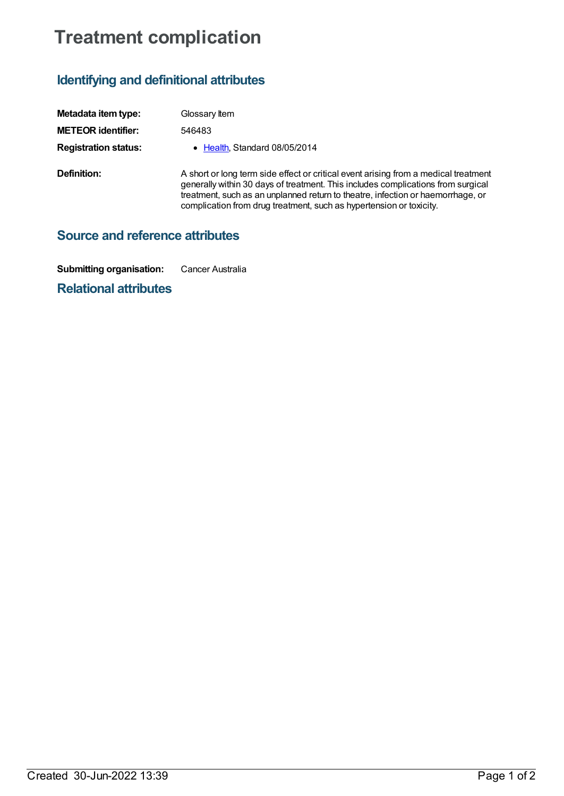## **Treatment complication**

## **Identifying and definitional attributes**

| Metadata item type:         | Glossary Item                                                                                                                                                                                                                                                                                                                     |
|-----------------------------|-----------------------------------------------------------------------------------------------------------------------------------------------------------------------------------------------------------------------------------------------------------------------------------------------------------------------------------|
| <b>METEOR identifier:</b>   | 546483                                                                                                                                                                                                                                                                                                                            |
| <b>Registration status:</b> | • Health Standard 08/05/2014                                                                                                                                                                                                                                                                                                      |
| Definition:                 | A short or long term side effect or critical event arising from a medical treatment<br>generally within 30 days of treatment. This includes complications from surgical<br>treatment, such as an unplanned return to theatre, infection or haemorrhage, or<br>complication from drug treatment, such as hypertension or toxicity. |

**Source and reference attributes**

**Submitting organisation:** Cancer Australia

**Relational attributes**